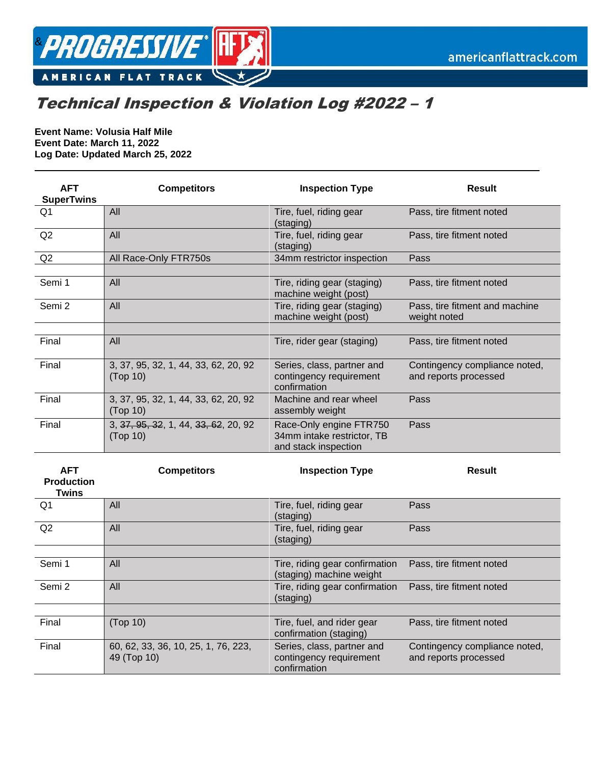

## Technical Inspection & Violation Log #2022 – 1

**Event Name: Volusia Half Mile Event Date: March 11, 2022 Log Date: Updated March 25, 2022**

| <b>AFT</b><br><b>SuperTwins</b> | <b>Competitors</b>                               | <b>Inspection Type</b>                                                        | <b>Result</b>                                          |
|---------------------------------|--------------------------------------------------|-------------------------------------------------------------------------------|--------------------------------------------------------|
| Q1                              | All                                              | Tire, fuel, riding gear<br>(staging)                                          | Pass, tire fitment noted                               |
| Q2                              | All                                              | Tire, fuel, riding gear<br>(staging)                                          | Pass, tire fitment noted                               |
| Q2                              | All Race-Only FTR750s                            | 34mm restrictor inspection                                                    | Pass                                                   |
| Semi 1                          | All                                              | Tire, riding gear (staging)                                                   | Pass, tire fitment noted                               |
| Semi 2                          | All                                              | machine weight (post)<br>Tire, riding gear (staging)<br>machine weight (post) | Pass, tire fitment and machine<br>weight noted         |
|                                 |                                                  |                                                                               |                                                        |
| Final                           | All                                              | Tire, rider gear (staging)                                                    | Pass, tire fitment noted                               |
| Final                           | 3, 37, 95, 32, 1, 44, 33, 62, 20, 92<br>(Top 10) | Series, class, partner and<br>contingency requirement<br>confirmation         | Contingency compliance noted,<br>and reports processed |
| Final                           | 3, 37, 95, 32, 1, 44, 33, 62, 20, 92<br>(Top 10) | Machine and rear wheel<br>assembly weight                                     | Pass                                                   |
| Final                           | 3, 37, 95, 32, 1, 44, 33, 62, 20, 92<br>(Top 10) | Race-Only engine FTR750<br>34mm intake restrictor, TB<br>and stack inspection | Pass                                                   |

| <b>AFT</b><br><b>Production</b><br>Twins | <b>Competitors</b>                                 | <b>Inspection Type</b>                                                | <b>Result</b>                                          |
|------------------------------------------|----------------------------------------------------|-----------------------------------------------------------------------|--------------------------------------------------------|
| Q1                                       | All                                                | Tire, fuel, riding gear<br>(staging)                                  | Pass                                                   |
| Q2                                       | All                                                | Tire, fuel, riding gear<br>(staging)                                  | Pass                                                   |
|                                          |                                                    |                                                                       |                                                        |
| Semi 1                                   | All                                                | Tire, riding gear confirmation<br>(staging) machine weight            | Pass, tire fitment noted                               |
| Semi 2                                   | All                                                | Tire, riding gear confirmation<br>(staging)                           | Pass, tire fitment noted                               |
|                                          |                                                    |                                                                       |                                                        |
| Final                                    | (Top 10)                                           | Tire, fuel, and rider gear<br>confirmation (staging)                  | Pass, tire fitment noted                               |
| Final                                    | 60, 62, 33, 36, 10, 25, 1, 76, 223,<br>49 (Top 10) | Series, class, partner and<br>contingency requirement<br>confirmation | Contingency compliance noted,<br>and reports processed |